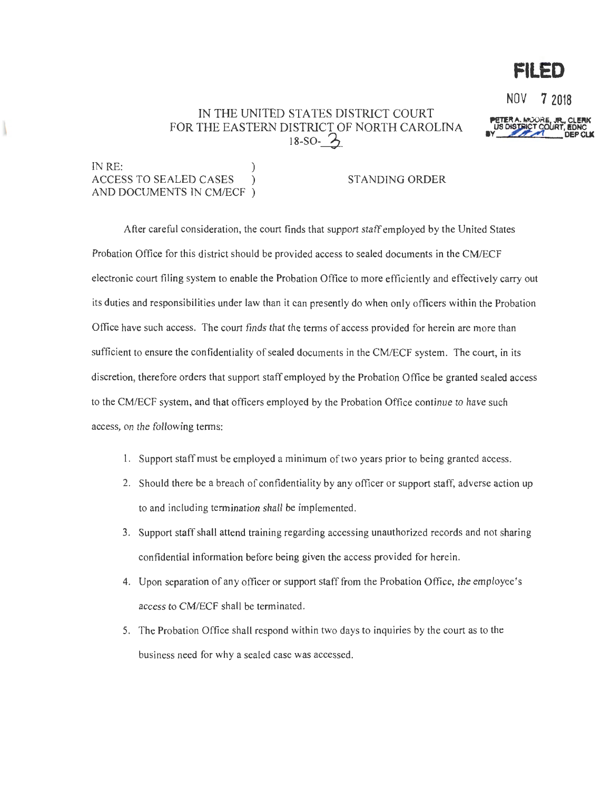## IN THE UNITED STATES DISTRICT COURT FOR THE EASTERN DISTRICT OF NORTH CAROLINA  $18-SO-2$



**FILED** 

IN RE: ACCESS TO SEALED CASES ) STANDING ORDER AND DOCUMENTS IN CM/ECF )

After careful consideration, the court finds that support staff employed by the United States Probation Office for this district should be provided access to sealed documents in the CM/ECF electronic court filing system to enable the Probation Office to more efficiently and effectively carry out its duties and responsibilities under law than it can presently do when only officers within the Probation Office have such access. The court finds that the terms of access provided for herein are more than sufficient to ensure the confidentiality of sealed documents in the CM/ECF system. The court, in its discretion, therefore orders that support staff employed by the Probation Office be granted sealed access to the CM/ECF system, and that officers employed by the Probation Office continue to have such access, on the following terms:

- 1. Support staff must be employed a minimum of two years prior to being granted access.
- 2. Should there be a breach of confidentiality by any officer or support staff, adverse action up to and including termination shall be implemented.
- 3. Support staff shall attend training regarding accessing unauthorized records and not sharing confidential information before being given the access provided for herein.
- 4. Upon separation of any officer or support staff from the Probation Office, the employee's access to CM/ECF shall be terminated.
- 5. The Probation Office shall respond within two days to inquiries by the court as to the business need for why a sealed case was accessed.